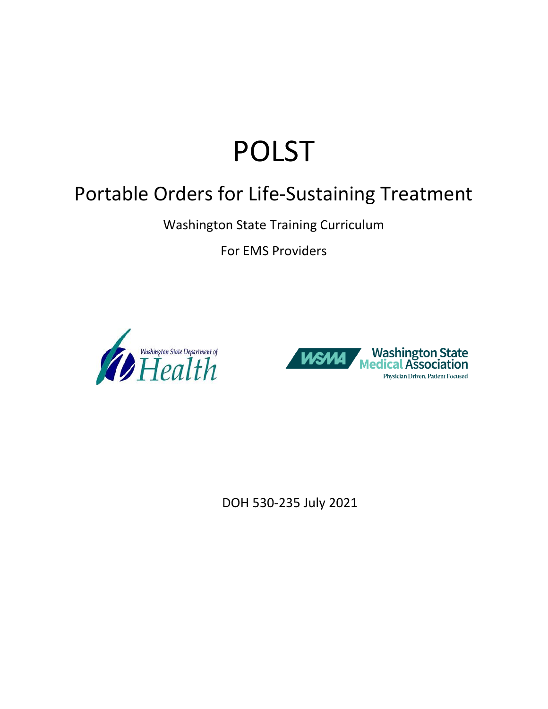# POLST

## Portable Orders for Life-Sustaining Treatment

Washington State Training Curriculum

For EMS Providers





DOH 530-235 July 2021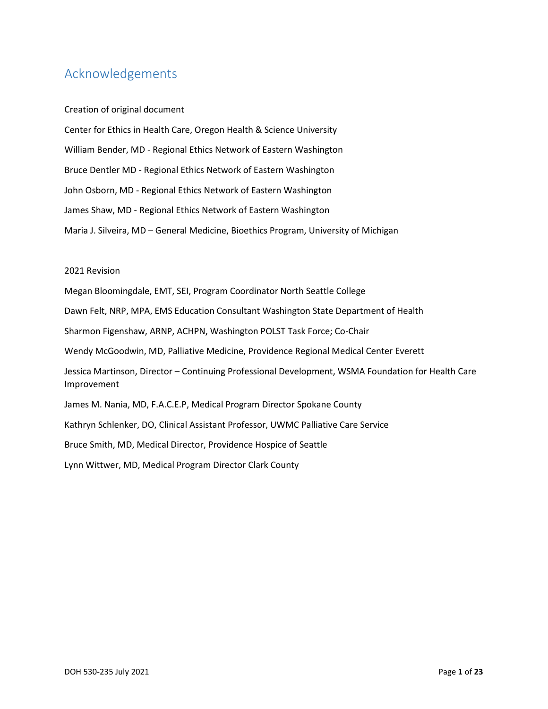### <span id="page-1-0"></span>Acknowledgements

#### Creation of original document

Center for Ethics in Health Care, Oregon Health & Science University William Bender, MD - Regional Ethics Network of Eastern Washington Bruce Dentler MD - Regional Ethics Network of Eastern Washington John Osborn, MD - Regional Ethics Network of Eastern Washington James Shaw, MD - Regional Ethics Network of Eastern Washington Maria J. Silveira, MD – General Medicine, Bioethics Program, University of Michigan

#### 2021 Revision

Megan Bloomingdale, EMT, SEI, Program Coordinator North Seattle College Dawn Felt, NRP, MPA, EMS Education Consultant Washington State Department of Health Sharmon Figenshaw, ARNP, ACHPN, Washington POLST Task Force; Co-Chair Wendy McGoodwin, MD, Palliative Medicine, Providence Regional Medical Center Everett Jessica Martinson, Director – Continuing Professional Development, WSMA Foundation for Health Care Improvement James M. Nania, MD, F.A.C.E.P, Medical Program Director Spokane County Kathryn Schlenker, DO, Clinical Assistant Professor, UWMC Palliative Care Service Bruce Smith, MD, Medical Director, Providence Hospice of Seattle Lynn Wittwer, MD, Medical Program Director Clark County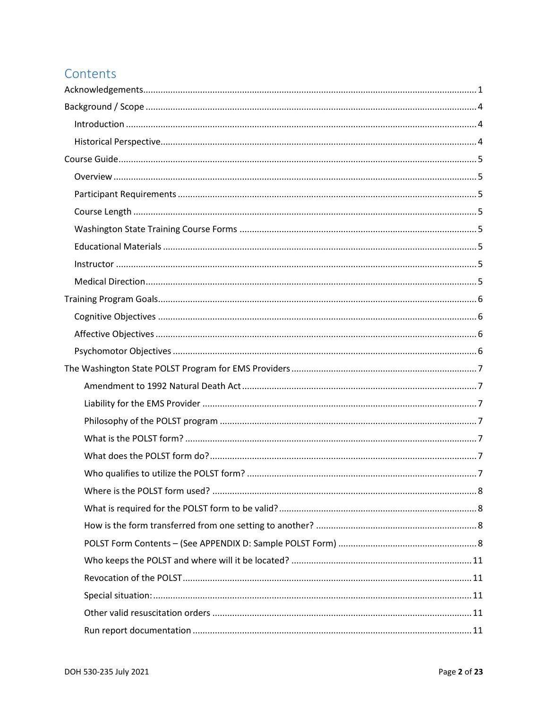## Contents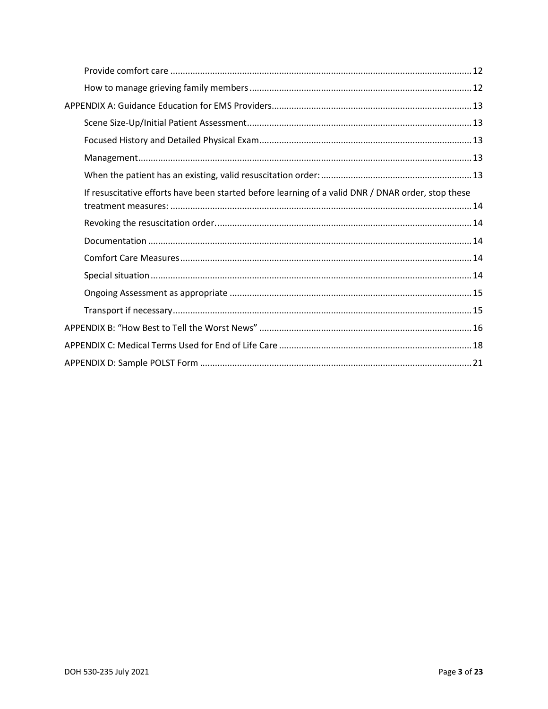| If resuscitative efforts have been started before learning of a valid DNR / DNAR order, stop these |
|----------------------------------------------------------------------------------------------------|
|                                                                                                    |
|                                                                                                    |
|                                                                                                    |
|                                                                                                    |
|                                                                                                    |
|                                                                                                    |
|                                                                                                    |
|                                                                                                    |
|                                                                                                    |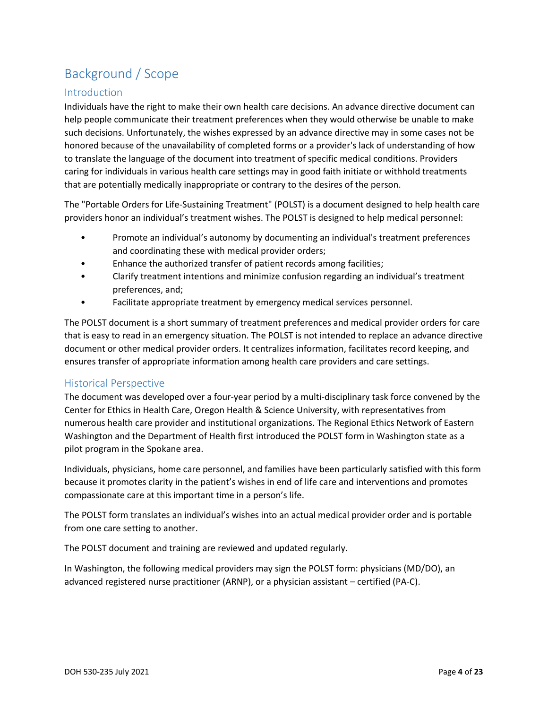## <span id="page-4-0"></span>Background / Scope

#### <span id="page-4-1"></span>Introduction

Individuals have the right to make their own health care decisions. An advance directive document can help people communicate their treatment preferences when they would otherwise be unable to make such decisions. Unfortunately, the wishes expressed by an advance directive may in some cases not be honored because of the unavailability of completed forms or a provider's lack of understanding of how to translate the language of the document into treatment of specific medical conditions. Providers caring for individuals in various health care settings may in good faith initiate or withhold treatments that are potentially medically inappropriate or contrary to the desires of the person.

The "Portable Orders for Life-Sustaining Treatment" (POLST) is a document designed to help health care providers honor an individual's treatment wishes. The POLST is designed to help medical personnel:

- Promote an individual's autonomy by documenting an individual's treatment preferences and coordinating these with medical provider orders;
- Enhance the authorized transfer of patient records among facilities;
- Clarify treatment intentions and minimize confusion regarding an individual's treatment preferences, and;
- Facilitate appropriate treatment by emergency medical services personnel.

The POLST document is a short summary of treatment preferences and medical provider orders for care that is easy to read in an emergency situation. The POLST is not intended to replace an advance directive document or other medical provider orders. It centralizes information, facilitates record keeping, and ensures transfer of appropriate information among health care providers and care settings.

#### <span id="page-4-2"></span>Historical Perspective

The document was developed over a four-year period by a multi-disciplinary task force convened by the Center for Ethics in Health Care, Oregon Health & Science University, with representatives from numerous health care provider and institutional organizations. The Regional Ethics Network of Eastern Washington and the Department of Health first introduced the POLST form in Washington state as a pilot program in the Spokane area.

Individuals, physicians, home care personnel, and families have been particularly satisfied with this form because it promotes clarity in the patient's wishes in end of life care and interventions and promotes compassionate care at this important time in a person's life.

The POLST form translates an individual's wishes into an actual medical provider order and is portable from one care setting to another.

The POLST document and training are reviewed and updated regularly.

In Washington, the following medical providers may sign the POLST form: physicians (MD/DO), an advanced registered nurse practitioner (ARNP), or a physician assistant – certified (PA-C).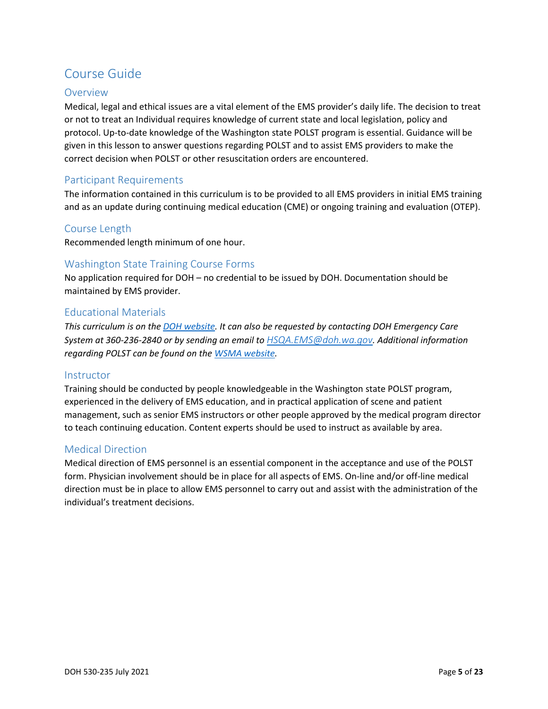## <span id="page-5-0"></span>Course Guide

#### <span id="page-5-1"></span>**Overview**

Medical, legal and ethical issues are a vital element of the EMS provider's daily life. The decision to treat or not to treat an Individual requires knowledge of current state and local legislation, policy and protocol. Up-to-date knowledge of the Washington state POLST program is essential. Guidance will be given in this lesson to answer questions regarding POLST and to assist EMS providers to make the correct decision when POLST or other resuscitation orders are encountered.

#### <span id="page-5-2"></span>Participant Requirements

The information contained in this curriculum is to be provided to all EMS providers in initial EMS training and as an update during continuing medical education (CME) or ongoing training and evaluation (OTEP).

#### <span id="page-5-3"></span>Course Length

Recommended length minimum of one hour.

#### <span id="page-5-4"></span>Washington State Training Course Forms

No application required for DOH – no credential to be issued by DOH. Documentation should be maintained by EMS provider.

#### <span id="page-5-5"></span>Educational Materials

*This curriculum is on the [DOH website.](https://www.doh.wa.gov/ForPublicHealthandHealthcareProviders/EmergencyMedicalServicesEMSSystems/DoNotResuscitate) It can also be requested by contacting DOH Emergency Care System at 360-236-2840 or by sending an email to [HSQA.EMS@doh.wa.gov](mailto:HSQA.EMS@doh.wa.gov). Additional information regarding POLST can be found on th[e WSMA website.](https://wsma.org/POLST)*

#### <span id="page-5-6"></span>**Instructor**

Training should be conducted by people knowledgeable in the Washington state POLST program, experienced in the delivery of EMS education, and in practical application of scene and patient management, such as senior EMS instructors or other people approved by the medical program director to teach continuing education. Content experts should be used to instruct as available by area.

#### <span id="page-5-7"></span>Medical Direction

Medical direction of EMS personnel is an essential component in the acceptance and use of the POLST form. Physician involvement should be in place for all aspects of EMS. On-line and/or off-line medical direction must be in place to allow EMS personnel to carry out and assist with the administration of the individual's treatment decisions.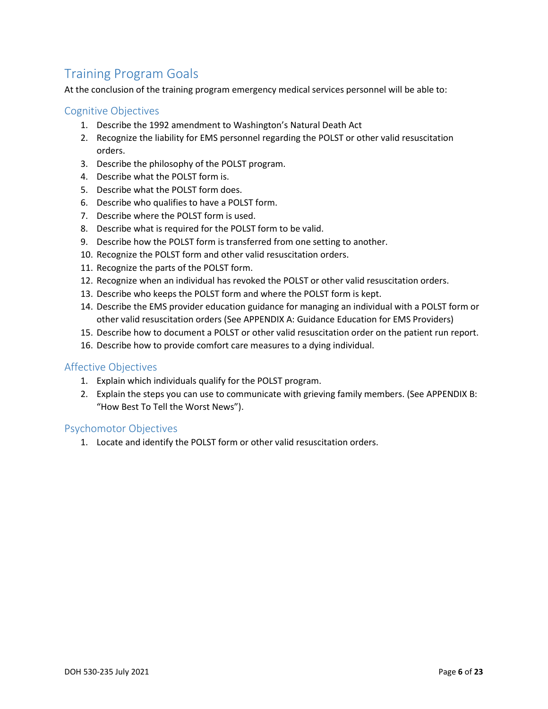## <span id="page-6-0"></span>Training Program Goals

At the conclusion of the training program emergency medical services personnel will be able to:

#### <span id="page-6-1"></span>Cognitive Objectives

- 1. Describe the 1992 amendment to Washington's Natural Death Act
- 2. Recognize the liability for EMS personnel regarding the POLST or other valid resuscitation orders.
- 3. Describe the philosophy of the POLST program.
- 4. Describe what the POLST form is.
- 5. Describe what the POLST form does.
- 6. Describe who qualifies to have a POLST form.
- 7. Describe where the POLST form is used.
- 8. Describe what is required for the POLST form to be valid.
- 9. Describe how the POLST form is transferred from one setting to another.
- 10. Recognize the POLST form and other valid resuscitation orders.
- 11. Recognize the parts of the POLST form.
- 12. Recognize when an individual has revoked the POLST or other valid resuscitation orders.
- 13. Describe who keeps the POLST form and where the POLST form is kept.
- 14. Describe the EMS provider education guidance for managing an individual with a POLST form or other valid resuscitation orders (See APPENDIX A: Guidance Education for EMS Providers)
- 15. Describe how to document a POLST or other valid resuscitation order on the patient run report.
- 16. Describe how to provide comfort care measures to a dying individual.

#### <span id="page-6-2"></span>Affective Objectives

- 1. Explain which individuals qualify for the POLST program.
- 2. Explain the steps you can use to communicate with grieving family members. (See APPENDIX B: "How Best To Tell the Worst News").

#### <span id="page-6-3"></span>Psychomotor Objectives

1. Locate and identify the POLST form or other valid resuscitation orders.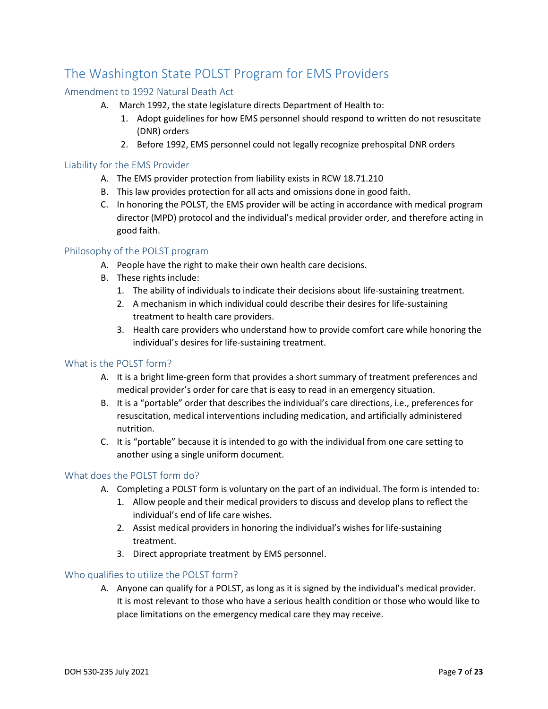## <span id="page-7-0"></span>The Washington State POLST Program for EMS Providers

#### <span id="page-7-1"></span>Amendment to 1992 Natural Death Act

- A. March 1992, the state legislature directs Department of Health to:
	- 1. Adopt guidelines for how EMS personnel should respond to written do not resuscitate (DNR) orders
	- 2. Before 1992, EMS personnel could not legally recognize prehospital DNR orders

#### <span id="page-7-2"></span>Liability for the EMS Provider

- A. The EMS provider protection from liability exists in RCW 18.71.210
- B. This law provides protection for all acts and omissions done in good faith.
- C. In honoring the POLST, the EMS provider will be acting in accordance with medical program director (MPD) protocol and the individual's medical provider order, and therefore acting in good faith.

#### <span id="page-7-3"></span>Philosophy of the POLST program

- A. People have the right to make their own health care decisions.
- B. These rights include:
	- 1. The ability of individuals to indicate their decisions about life-sustaining treatment.
	- 2. A mechanism in which individual could describe their desires for life-sustaining treatment to health care providers.
	- 3. Health care providers who understand how to provide comfort care while honoring the individual's desires for life-sustaining treatment.

#### <span id="page-7-4"></span>What is the POLST form?

- A. It is a bright lime-green form that provides a short summary of treatment preferences and medical provider's order for care that is easy to read in an emergency situation.
- B. It is a "portable" order that describes the individual's care directions, i.e., preferences for resuscitation, medical interventions including medication, and artificially administered nutrition.
- C. It is "portable" because it is intended to go with the individual from one care setting to another using a single uniform document.

#### <span id="page-7-5"></span>What does the POLST form do?

- A. Completing a POLST form is voluntary on the part of an individual. The form is intended to:
	- 1. Allow people and their medical providers to discuss and develop plans to reflect the individual's end of life care wishes.
	- 2. Assist medical providers in honoring the individual's wishes for life-sustaining treatment.
	- 3. Direct appropriate treatment by EMS personnel.

#### <span id="page-7-6"></span>Who qualifies to utilize the POLST form?

A. Anyone can qualify for a POLST, as long as it is signed by the individual's medical provider. It is most relevant to those who have a serious health condition or those who would like to place limitations on the emergency medical care they may receive.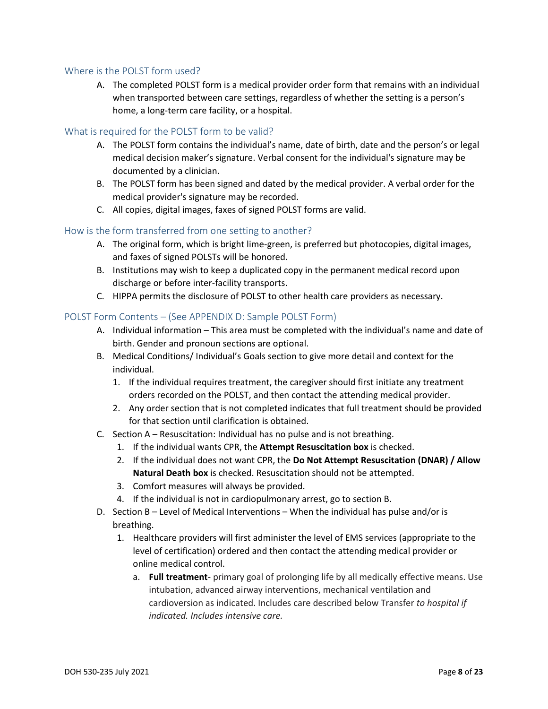#### <span id="page-8-0"></span>Where is the POLST form used?

A. The completed POLST form is a medical provider order form that remains with an individual when transported between care settings, regardless of whether the setting is a person's home, a long-term care facility, or a hospital.

#### <span id="page-8-1"></span>What is required for the POLST form to be valid?

- A. The POLST form contains the individual's name, date of birth, date and the person's or legal medical decision maker's signature. Verbal consent for the individual's signature may be documented by a clinician.
- B. The POLST form has been signed and dated by the medical provider. A verbal order for the medical provider's signature may be recorded.
- C. All copies, digital images, faxes of signed POLST forms are valid.

#### <span id="page-8-2"></span>How is the form transferred from one setting to another?

- A. The original form, which is bright lime-green, is preferred but photocopies, digital images, and faxes of signed POLSTs will be honored.
- B. Institutions may wish to keep a duplicated copy in the permanent medical record upon discharge or before inter-facility transports.
- C. HIPPA permits the disclosure of POLST to other health care providers as necessary.

#### <span id="page-8-3"></span>POLST Form Contents – (See APPENDIX D: Sample POLST Form)

- A. Individual information This area must be completed with the individual's name and date of birth. Gender and pronoun sections are optional.
- B. Medical Conditions/ Individual's Goals section to give more detail and context for the individual.
	- 1. If the individual requires treatment, the caregiver should first initiate any treatment orders recorded on the POLST, and then contact the attending medical provider.
	- 2. Any order section that is not completed indicates that full treatment should be provided for that section until clarification is obtained.
- C. Section A Resuscitation: Individual has no pulse and is not breathing.
	- 1. If the individual wants CPR, the **Attempt Resuscitation box** is checked.
	- 2. If the individual does not want CPR, the **Do Not Attempt Resuscitation (DNAR) / Allow Natural Death box** is checked. Resuscitation should not be attempted.
	- 3. Comfort measures will always be provided.
	- 4. If the individual is not in cardiopulmonary arrest, go to section B.
- D. Section B Level of Medical Interventions When the individual has pulse and/or is breathing.
	- 1. Healthcare providers will first administer the level of EMS services (appropriate to the level of certification) ordered and then contact the attending medical provider or online medical control.
		- a. **Full treatment** primary goal of prolonging life by all medically effective means. Use intubation, advanced airway interventions, mechanical ventilation and cardioversion as indicated. Includes care described below Transfer *to hospital if indicated. Includes intensive care.*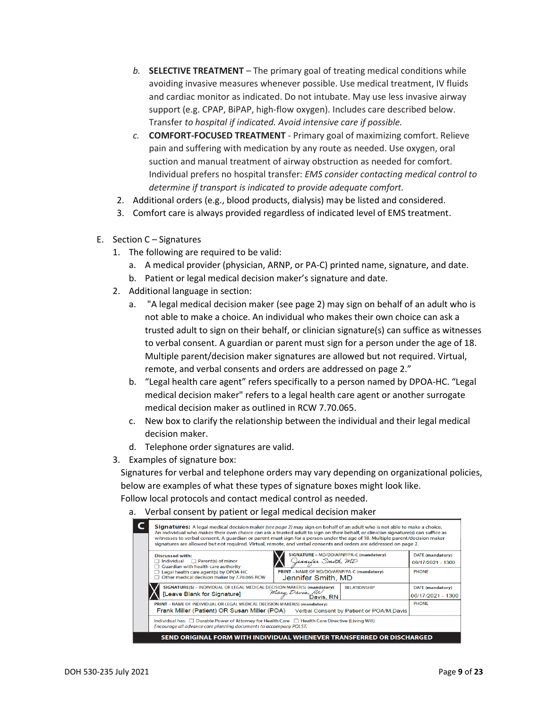- *b.* **SELECTIVE TREATMENT** The primary goal of treating medical conditions while avoiding invasive measures whenever possible. Use medical treatment, IV fluids and cardiac monitor as indicated. Do not intubate. May use less invasive airway support (e.g. CPAP, BiPAP, high-flow oxygen). Includes care described below. Transfer *to hospital if indicated. Avoid intensive care if possible.*
- *c.* **COMFORT-FOCUSED TREATMENT** Primary goal of maximizing comfort. Relieve pain and suffering with medication by any route as needed. Use oxygen, oral suction and manual treatment of airway obstruction as needed for comfort. Individual prefers no hospital transfer: *EMS consider contacting medical control to determine if transport is indicated to provide adequate comfort.*
- 2. Additional orders (e.g., blood products, dialysis) may be listed and considered.
- 3. Comfort care is always provided regardless of indicated level of EMS treatment.
- E. Section C Signatures
	- 1. The following are required to be valid:
		- a. A medical provider (physician, ARNP, or PA-C) printed name, signature, and date.
		- b. Patient or legal medical decision maker's signature and date.
	- 2. Additional language in section:
		- a. "A legal medical decision maker (see page 2) may sign on behalf of an adult who is not able to make a choice. An individual who makes their own choice can ask a trusted adult to sign on their behalf, or clinician signature(s) can suffice as witnesses to verbal consent. A guardian or parent must sign for a person under the age of 18. Multiple parent/decision maker signatures are allowed but not required. Virtual, remote, and verbal consents and orders are addressed on page 2."
		- b. "Legal health care agent" refers specifically to a person named by DPOA-HC. "Legal medical decision maker" refers to a legal health care agent or another surrogate medical decision maker as outlined in RCW 7.70.065.
		- c. New box to clarify the relationship between the individual and their legal medical decision maker.
		- d. Telephone order signatures are valid.
	- 3. Examples of signature box:

Signatures for verbal and telephone orders may vary depending on organizational policies, below are examples of what these types of signature boxes might look like.

Follow local protocols and contact medical control as needed.

a. Verbal consent by patient or legal medical decision maker

| Signatures: A legal medical decision maker (see page 2) may sign on behalf of an adult who is not able to make a choice.<br>An individual who makes their own choice can ask a trusted adult to sign on their behalf, or clinician signature(s) can suffice as<br>witnesses to verbal consent. A guardian or parent must sign for a person under the age of 18. Multiple parent/decision maker<br>signatures are allowed but not required. Virtual, remote, and verbal consents and orders are addressed on page 2. |                                              |  |  |  |  |
|---------------------------------------------------------------------------------------------------------------------------------------------------------------------------------------------------------------------------------------------------------------------------------------------------------------------------------------------------------------------------------------------------------------------------------------------------------------------------------------------------------------------|----------------------------------------------|--|--|--|--|
| SIGNATURE - MD/DO/ARNP/PA-C (mandatory)<br><b>Discussed with:</b><br>Jennifer Smith, MD<br>$\Box$ Parent(s) of minor<br>Individual<br>$\Box$ Guardian with health care authority                                                                                                                                                                                                                                                                                                                                    | <b>DATE</b> (mandatory)<br>06/17/2021 - 1300 |  |  |  |  |
| PRINT - NAME OF MD/DO/ARNP/PA-C (mandatory)<br>Legal health care agent(s) by DPOA-HC<br>Other medical decision maker by 7.70.065 RCW<br>Jennifer Smith, MD                                                                                                                                                                                                                                                                                                                                                          | <b>PHONE</b>                                 |  |  |  |  |
| SIGNATURE(S) - INDIVIDUAL OR LEGAL MEDICAL DECISION MAKER(S) (mandatory)<br><b>RELATIONSHIP</b><br>Mary Davis, RN<br>Davis, RN<br>[Leave Blank for Signature]                                                                                                                                                                                                                                                                                                                                                       | <b>DATE</b> (mandatory)<br>06/17/2021 - 1300 |  |  |  |  |
| PRINT - NAME OF INDIVIDUAL OR LEGAL MEDICAL DECISION MAKER(S) (mandatory)<br>Frank Miller (Patient) OR Susan Miller (POA)<br>Verbal Consent by Patient or POA/M.Davis                                                                                                                                                                                                                                                                                                                                               | <b>PHONE</b>                                 |  |  |  |  |
| Individual has: $\Box$ Durable Power of Attorney for Health Care $\Box$ Health Care Directive (Living Will)<br>Encourage all advance care planning documents to accompany POLST.                                                                                                                                                                                                                                                                                                                                    |                                              |  |  |  |  |
| SEND ORIGINAL FORM WITH INDIVIDUAL WHENEVER TRANSFERRED OR DISCHARGED                                                                                                                                                                                                                                                                                                                                                                                                                                               |                                              |  |  |  |  |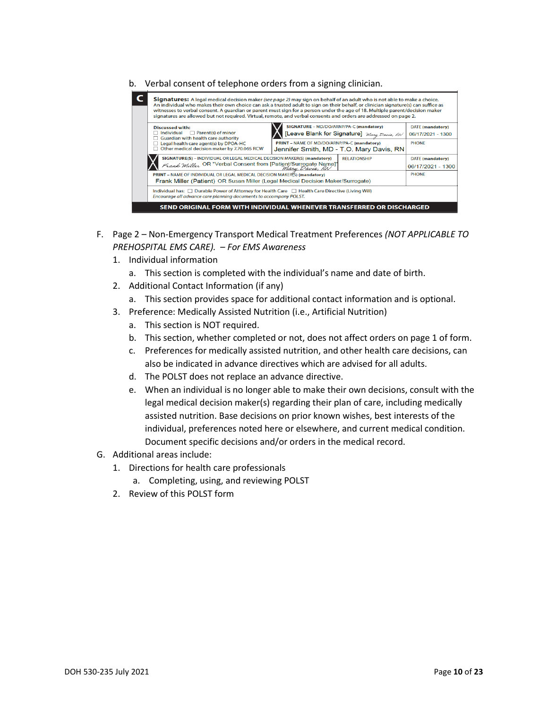b. Verbal consent of telephone orders from a signing clinician.

| Signatures: A legal medical decision maker (see page 2) may sign on behalf of an adult who is not able to make a choice.<br>An individual who makes their own choice can ask a trusted adult to sign on their behalf, or clinician signature(s) can suffice as<br>witnesses to verbal consent. A guardian or parent must sign for a person under the age of 18. Multiple parent/decision maker<br>signatures are allowed but not required. Virtual, remote, and verbal consents and orders are addressed on page 2. |                                                                       |                         |  |  |  |  |
|---------------------------------------------------------------------------------------------------------------------------------------------------------------------------------------------------------------------------------------------------------------------------------------------------------------------------------------------------------------------------------------------------------------------------------------------------------------------------------------------------------------------|-----------------------------------------------------------------------|-------------------------|--|--|--|--|
| SIGNATURE - MD/DO/ARNP/PA-C (mandatory)<br><b>DATE</b> (mandatory)                                                                                                                                                                                                                                                                                                                                                                                                                                                  |                                                                       |                         |  |  |  |  |
| <b>Discussed with:</b>                                                                                                                                                                                                                                                                                                                                                                                                                                                                                              |                                                                       |                         |  |  |  |  |
| [Leave Blank for Signature] Mary Davis, RN<br>Parent(s) of minor<br>Individual<br>$\Box$<br>06/17/2021 - 1300                                                                                                                                                                                                                                                                                                                                                                                                       |                                                                       |                         |  |  |  |  |
| Guardian with health care authority                                                                                                                                                                                                                                                                                                                                                                                                                                                                                 | PRINT - NAME OF MD/DO/ARNP/PA-C (mandatory)                           | <b>PHONE</b>            |  |  |  |  |
| Legal health care agent(s) by DPOA-HC<br>Other medical decision maker by 7.70.065 RCW                                                                                                                                                                                                                                                                                                                                                                                                                               |                                                                       |                         |  |  |  |  |
|                                                                                                                                                                                                                                                                                                                                                                                                                                                                                                                     | Jennifer Smith, MD - T.O. Mary Davis, RN                              |                         |  |  |  |  |
| SIGNATURE(S) - INDIVIDUAL OR LEGAL MEDICAL DECISION MAKER(S) (mandatory)                                                                                                                                                                                                                                                                                                                                                                                                                                            | <b>RELATIONSHIP</b>                                                   | <b>DATE</b> (mandatory) |  |  |  |  |
| Frank Miller OR "Verbal Consent from [Patient/Surrogate Name]"                                                                                                                                                                                                                                                                                                                                                                                                                                                      | 06/17/2021 - 1300                                                     |                         |  |  |  |  |
| PRINT – NAME OF INDIVIDUAL OR LEGAL MEDICAL DECISION MAKER(S) (mandatory)                                                                                                                                                                                                                                                                                                                                                                                                                                           |                                                                       | <b>PHONE</b>            |  |  |  |  |
| Frank Miller (Patient) OR Susan Miller (Legal Medical Decision Maker/Surrogate)                                                                                                                                                                                                                                                                                                                                                                                                                                     |                                                                       |                         |  |  |  |  |
|                                                                                                                                                                                                                                                                                                                                                                                                                                                                                                                     |                                                                       |                         |  |  |  |  |
| Individual has: □ Durable Power of Attorney for Health Care □ Health Care Directive (Living Will)                                                                                                                                                                                                                                                                                                                                                                                                                   |                                                                       |                         |  |  |  |  |
| Encourage all advance care planning documents to accompany POLST.                                                                                                                                                                                                                                                                                                                                                                                                                                                   |                                                                       |                         |  |  |  |  |
|                                                                                                                                                                                                                                                                                                                                                                                                                                                                                                                     |                                                                       |                         |  |  |  |  |
|                                                                                                                                                                                                                                                                                                                                                                                                                                                                                                                     | SEND ORIGINAL FORM WITH INDIVIDUAL WHENEVER TRANSFERRED OR DISCHARGED |                         |  |  |  |  |

- F. Page 2 Non-Emergency Transport Medical Treatment Preferences *(NOT APPLICABLE TO PREHOSPITAL EMS CARE). – For EMS Awareness*
	- 1. Individual information
		- a. This section is completed with the individual's name and date of birth.
	- 2. Additional Contact Information (if any)
		- a. This section provides space for additional contact information and is optional.
	- 3. Preference: Medically Assisted Nutrition (i.e., Artificial Nutrition)
		- a. This section is NOT required.
		- b. This section, whether completed or not, does not affect orders on page 1 of form.
		- c. Preferences for medically assisted nutrition, and other health care decisions, can also be indicated in advance directives which are advised for all adults.
		- d. The POLST does not replace an advance directive.
		- e. When an individual is no longer able to make their own decisions, consult with the legal medical decision maker(s) regarding their plan of care, including medically assisted nutrition. Base decisions on prior known wishes, best interests of the individual, preferences noted here or elsewhere, and current medical condition. Document specific decisions and/or orders in the medical record.
- G. Additional areas include:
	- 1. Directions for health care professionals
		- a. Completing, using, and reviewing POLST
	- 2. Review of this POLST form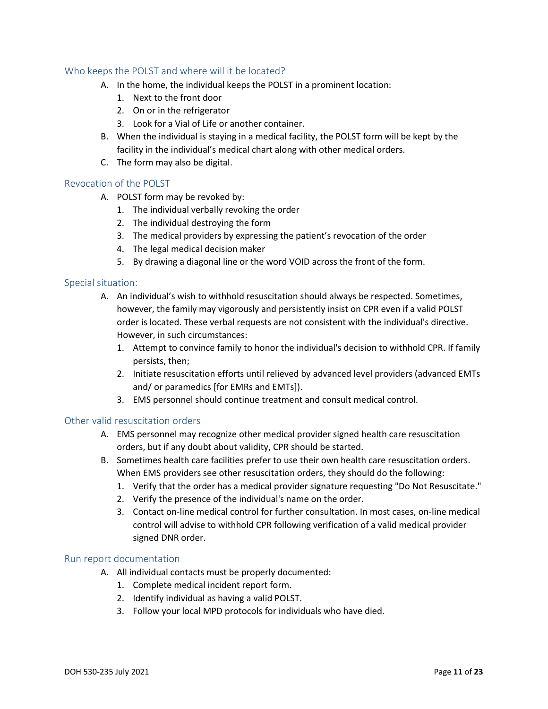#### <span id="page-11-0"></span>Who keeps the POLST and where will it be located?

- A. In the home, the individual keeps the POLST in a prominent location:
	- 1. Next to the front door
	- 2. On or in the refrigerator
	- 3. Look for a Vial of Life or another container.
- B. When the individual is staying in a medical facility, the POLST form will be kept by the facility in the individual's medical chart along with other medical orders.
- C. The form may also be digital.

#### <span id="page-11-1"></span>Revocation of the POLST

- A. POLST form may be revoked by:
	- 1. The individual verbally revoking the order
	- 2. The individual destroying the form
	- 3. The medical providers by expressing the patient's revocation of the order
	- 4. The legal medical decision maker
	- 5. By drawing a diagonal line or the word VOID across the front of the form.

#### <span id="page-11-2"></span>Special situation:

- A. An individual's wish to withhold resuscitation should always be respected. Sometimes, however, the family may vigorously and persistently insist on CPR even if a valid POLST order is located. These verbal requests are not consistent with the individual's directive. However, in such circumstances:
	- 1. Attempt to convince family to honor the individual's decision to withhold CPR. If family persists, then;
	- 2. Initiate resuscitation efforts until relieved by advanced level providers (advanced EMTs and/ or paramedics [for EMRs and EMTs]).
	- 3. EMS personnel should continue treatment and consult medical control.

#### <span id="page-11-3"></span>Other valid resuscitation orders

- A. EMS personnel may recognize other medical provider signed health care resuscitation orders, but if any doubt about validity, CPR should be started.
- B. Sometimes health care facilities prefer to use their own health care resuscitation orders. When EMS providers see other resuscitation orders, they should do the following:
	- 1. Verify that the order has a medical provider signature requesting "Do Not Resuscitate."
	- 2. Verify the presence of the individual's name on the order.
	- 3. Contact on-line medical control for further consultation. In most cases, on-line medical control will advise to withhold CPR following verification of a valid medical provider signed DNR order.

#### <span id="page-11-4"></span>Run report documentation

- A. All individual contacts must be properly documented:
	- 1. Complete medical incident report form.
	- 2. Identify individual as having a valid POLST.
	- 3. Follow your local MPD protocols for individuals who have died.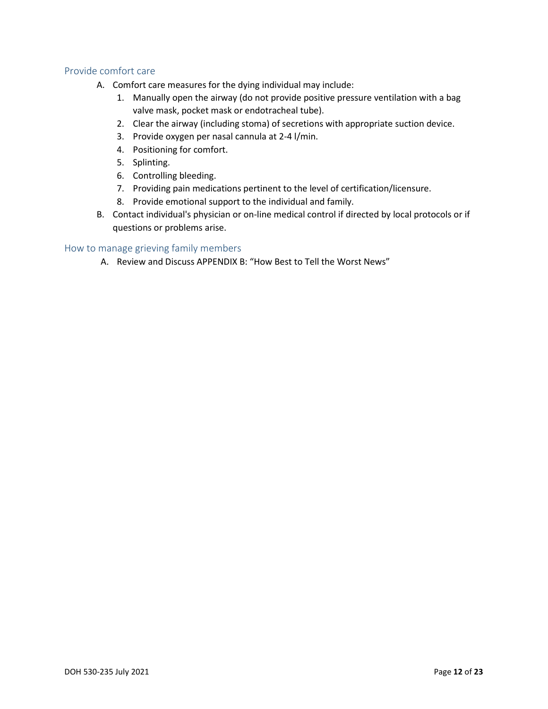#### <span id="page-12-0"></span>Provide comfort care

- A. Comfort care measures for the dying individual may include:
	- 1. Manually open the airway (do not provide positive pressure ventilation with a bag valve mask, pocket mask or endotracheal tube).
	- 2. Clear the airway (including stoma) of secretions with appropriate suction device.
	- 3. Provide oxygen per nasal cannula at 2-4 l/min.
	- 4. Positioning for comfort.
	- 5. Splinting.
	- 6. Controlling bleeding.
	- 7. Providing pain medications pertinent to the level of certification/licensure.
	- 8. Provide emotional support to the individual and family.
- B. Contact individual's physician or on-line medical control if directed by local protocols or if questions or problems arise.

#### <span id="page-12-1"></span>How to manage grieving family members

A. Review and Discuss APPENDIX B: "How Best to Tell the Worst News"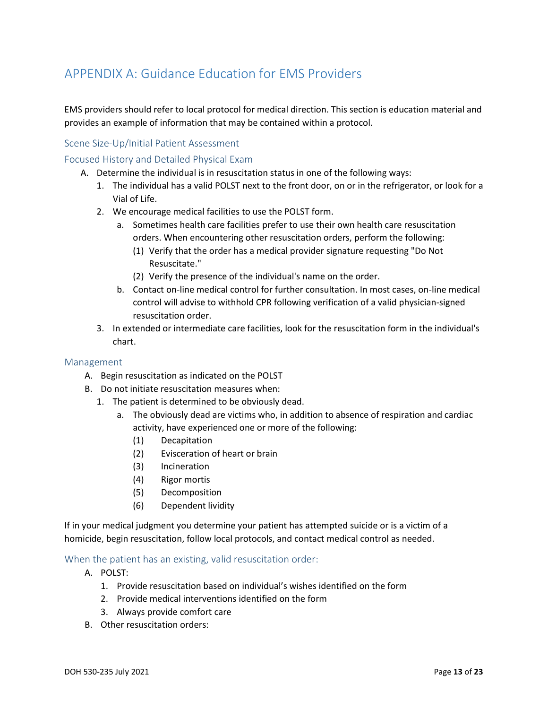## <span id="page-13-0"></span>APPENDIX A: Guidance Education for EMS Providers

EMS providers should refer to local protocol for medical direction. This section is education material and provides an example of information that may be contained within a protocol.

#### <span id="page-13-1"></span>Scene Size-Up/Initial Patient Assessment

#### <span id="page-13-2"></span>Focused History and Detailed Physical Exam

- A. Determine the individual is in resuscitation status in one of the following ways:
	- 1. The individual has a valid POLST next to the front door, on or in the refrigerator, or look for a Vial of Life.
	- 2. We encourage medical facilities to use the POLST form.
		- a. Sometimes health care facilities prefer to use their own health care resuscitation orders. When encountering other resuscitation orders, perform the following:
			- (1) Verify that the order has a medical provider signature requesting "Do Not Resuscitate."
			- (2) Verify the presence of the individual's name on the order.
		- b. Contact on-line medical control for further consultation. In most cases, on-line medical control will advise to withhold CPR following verification of a valid physician-signed resuscitation order.
	- 3. In extended or intermediate care facilities, look for the resuscitation form in the individual's chart.

#### <span id="page-13-3"></span>Management

- A. Begin resuscitation as indicated on the POLST
- B. Do not initiate resuscitation measures when:
	- 1. The patient is determined to be obviously dead.
		- a. The obviously dead are victims who, in addition to absence of respiration and cardiac activity, have experienced one or more of the following:
			- (1) Decapitation
			- (2) Evisceration of heart or brain
			- (3) Incineration
			- (4) Rigor mortis
			- (5) Decomposition
			- (6) Dependent lividity

If in your medical judgment you determine your patient has attempted suicide or is a victim of a homicide, begin resuscitation, follow local protocols, and contact medical control as needed.

#### <span id="page-13-4"></span>When the patient has an existing, valid resuscitation order:

- A. POLST:
	- 1. Provide resuscitation based on individual's wishes identified on the form
	- 2. Provide medical interventions identified on the form
	- 3. Always provide comfort care
- B. Other resuscitation orders: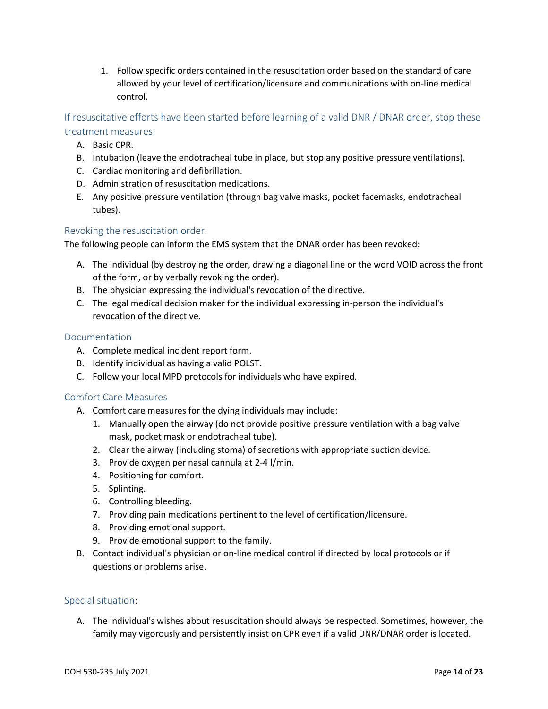1. Follow specific orders contained in the resuscitation order based on the standard of care allowed by your level of certification/licensure and communications with on-line medical control.

<span id="page-14-0"></span>If resuscitative efforts have been started before learning of a valid DNR / DNAR order, stop these treatment measures:

- A. Basic CPR.
- B. Intubation (leave the endotracheal tube in place, but stop any positive pressure ventilations).
- C. Cardiac monitoring and defibrillation.
- D. Administration of resuscitation medications.
- E. Any positive pressure ventilation (through bag valve masks, pocket facemasks, endotracheal tubes).

#### <span id="page-14-1"></span>Revoking the resuscitation order.

The following people can inform the EMS system that the DNAR order has been revoked:

- A. The individual (by destroying the order, drawing a diagonal line or the word VOID across the front of the form, or by verbally revoking the order).
- B. The physician expressing the individual's revocation of the directive.
- C. The legal medical decision maker for the individual expressing in-person the individual's revocation of the directive.

#### <span id="page-14-2"></span>Documentation

- A. Complete medical incident report form.
- B. Identify individual as having a valid POLST.
- C. Follow your local MPD protocols for individuals who have expired.

#### <span id="page-14-3"></span>Comfort Care Measures

- A. Comfort care measures for the dying individuals may include:
	- 1. Manually open the airway (do not provide positive pressure ventilation with a bag valve mask, pocket mask or endotracheal tube).
	- 2. Clear the airway (including stoma) of secretions with appropriate suction device.
	- 3. Provide oxygen per nasal cannula at 2-4 l/min.
	- 4. Positioning for comfort.
	- 5. Splinting.
	- 6. Controlling bleeding.
	- 7. Providing pain medications pertinent to the level of certification/licensure.
	- 8. Providing emotional support.
	- 9. Provide emotional support to the family.
- B. Contact individual's physician or on-line medical control if directed by local protocols or if questions or problems arise.

#### <span id="page-14-4"></span>Special situation:

A. The individual's wishes about resuscitation should always be respected. Sometimes, however, the family may vigorously and persistently insist on CPR even if a valid DNR/DNAR order is located.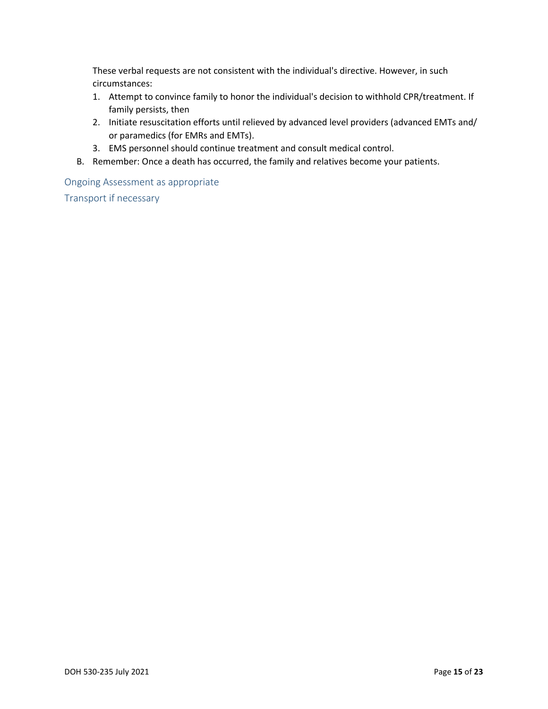These verbal requests are not consistent with the individual's directive. However, in such circumstances:

- 1. Attempt to convince family to honor the individual's decision to withhold CPR/treatment. If family persists, then
- 2. Initiate resuscitation efforts until relieved by advanced level providers (advanced EMTs and/ or paramedics (for EMRs and EMTs).
- 3. EMS personnel should continue treatment and consult medical control.
- B. Remember: Once a death has occurred, the family and relatives become your patients.

<span id="page-15-0"></span>Ongoing Assessment as appropriate

<span id="page-15-1"></span>Transport if necessary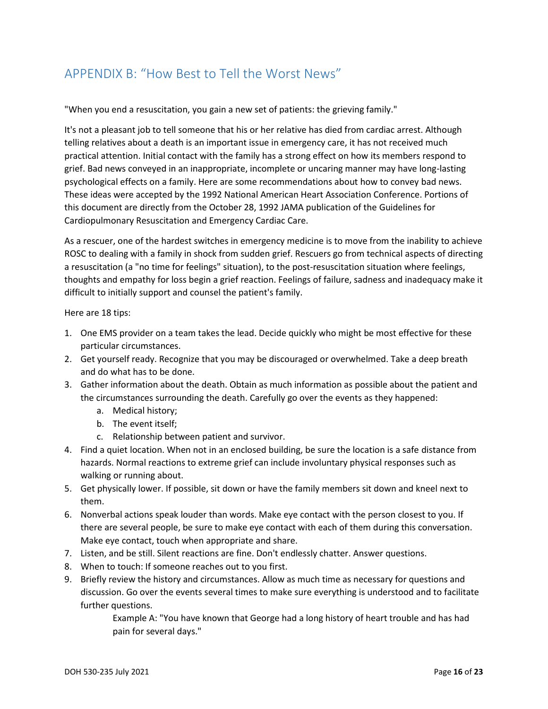## <span id="page-16-0"></span>APPENDIX B: "How Best to Tell the Worst News"

"When you end a resuscitation, you gain a new set of patients: the grieving family."

It's not a pleasant job to tell someone that his or her relative has died from cardiac arrest. Although telling relatives about a death is an important issue in emergency care, it has not received much practical attention. Initial contact with the family has a strong effect on how its members respond to grief. Bad news conveyed in an inappropriate, incomplete or uncaring manner may have long-lasting psychological effects on a family. Here are some recommendations about how to convey bad news. These ideas were accepted by the 1992 National American Heart Association Conference. Portions of this document are directly from the October 28, 1992 JAMA publication of the Guidelines for Cardiopulmonary Resuscitation and Emergency Cardiac Care.

As a rescuer, one of the hardest switches in emergency medicine is to move from the inability to achieve ROSC to dealing with a family in shock from sudden grief. Rescuers go from technical aspects of directing a resuscitation (a "no time for feelings" situation), to the post-resuscitation situation where feelings, thoughts and empathy for loss begin a grief reaction. Feelings of failure, sadness and inadequacy make it difficult to initially support and counsel the patient's family.

Here are 18 tips:

- 1. One EMS provider on a team takes the lead. Decide quickly who might be most effective for these particular circumstances.
- 2. Get yourself ready. Recognize that you may be discouraged or overwhelmed. Take a deep breath and do what has to be done.
- 3. Gather information about the death. Obtain as much information as possible about the patient and the circumstances surrounding the death. Carefully go over the events as they happened:
	- a. Medical history;
	- b. The event itself;
	- c. Relationship between patient and survivor.
- 4. Find a quiet location. When not in an enclosed building, be sure the location is a safe distance from hazards. Normal reactions to extreme grief can include involuntary physical responses such as walking or running about.
- 5. Get physically lower. If possible, sit down or have the family members sit down and kneel next to them.
- 6. Nonverbal actions speak louder than words. Make eye contact with the person closest to you. If there are several people, be sure to make eye contact with each of them during this conversation. Make eye contact, touch when appropriate and share.
- 7. Listen, and be still. Silent reactions are fine. Don't endlessly chatter. Answer questions.
- 8. When to touch: If someone reaches out to you first.
- 9. Briefly review the history and circumstances. Allow as much time as necessary for questions and discussion. Go over the events several times to make sure everything is understood and to facilitate further questions.

Example A: "You have known that George had a long history of heart trouble and has had pain for several days."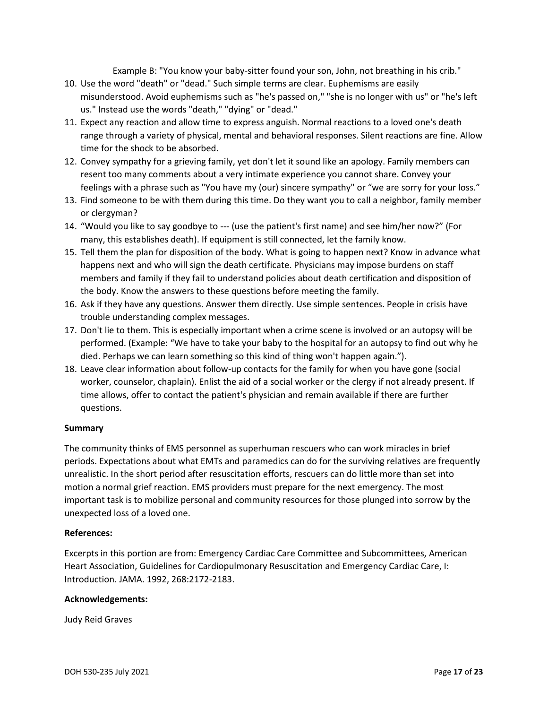Example B: "You know your baby-sitter found your son, John, not breathing in his crib."

- 10. Use the word "death" or "dead." Such simple terms are clear. Euphemisms are easily misunderstood. Avoid euphemisms such as "he's passed on," "she is no longer with us" or "he's left us." Instead use the words "death," "dying" or "dead."
- 11. Expect any reaction and allow time to express anguish. Normal reactions to a loved one's death range through a variety of physical, mental and behavioral responses. Silent reactions are fine. Allow time for the shock to be absorbed.
- 12. Convey sympathy for a grieving family, yet don't let it sound like an apology. Family members can resent too many comments about a very intimate experience you cannot share. Convey your feelings with a phrase such as "You have my (our) sincere sympathy" or "we are sorry for your loss."
- 13. Find someone to be with them during this time. Do they want you to call a neighbor, family member or clergyman?
- 14. "Would you like to say goodbye to --- (use the patient's first name) and see him/her now?" (For many, this establishes death). If equipment is still connected, let the family know.
- 15. Tell them the plan for disposition of the body. What is going to happen next? Know in advance what happens next and who will sign the death certificate. Physicians may impose burdens on staff members and family if they fail to understand policies about death certification and disposition of the body. Know the answers to these questions before meeting the family.
- 16. Ask if they have any questions. Answer them directly. Use simple sentences. People in crisis have trouble understanding complex messages.
- 17. Don't lie to them. This is especially important when a crime scene is involved or an autopsy will be performed. (Example: "We have to take your baby to the hospital for an autopsy to find out why he died. Perhaps we can learn something so this kind of thing won't happen again.").
- 18. Leave clear information about follow-up contacts for the family for when you have gone (social worker, counselor, chaplain). Enlist the aid of a social worker or the clergy if not already present. If time allows, offer to contact the patient's physician and remain available if there are further questions.

#### **Summary**

The community thinks of EMS personnel as superhuman rescuers who can work miracles in brief periods. Expectations about what EMTs and paramedics can do for the surviving relatives are frequently unrealistic. In the short period after resuscitation efforts, rescuers can do little more than set into motion a normal grief reaction. EMS providers must prepare for the next emergency. The most important task is to mobilize personal and community resources for those plunged into sorrow by the unexpected loss of a loved one.

#### **References:**

Excerpts in this portion are from: Emergency Cardiac Care Committee and Subcommittees, American Heart Association, Guidelines for Cardiopulmonary Resuscitation and Emergency Cardiac Care, I: Introduction. JAMA. 1992, 268:2172-2183.

#### **Acknowledgements:**

Judy Reid Graves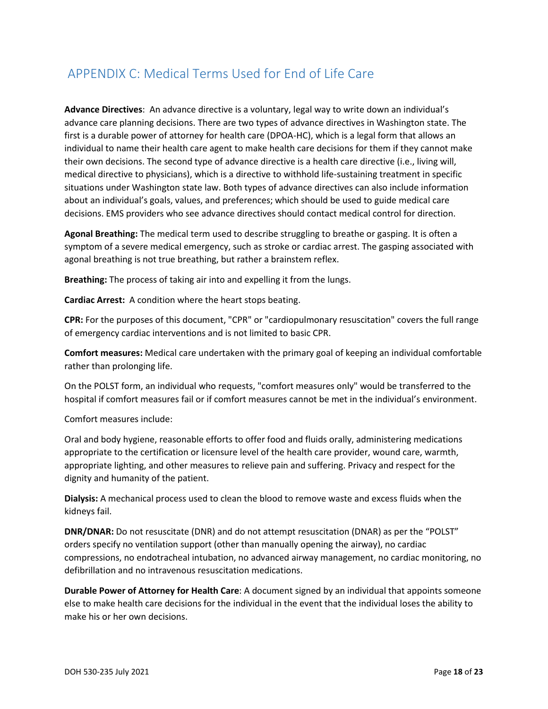## <span id="page-18-0"></span>APPENDIX C: Medical Terms Used for End of Life Care

**Advance Directives**: An advance directive is a voluntary, legal way to write down an individual's advance care planning decisions. There are two types of advance directives in Washington state. The first is a durable power of attorney for health care (DPOA-HC), which is a legal form that allows an individual to name their health care agent to make health care decisions for them if they cannot make their own decisions. The second type of advance directive is a health care directive (i.e., living will, medical directive to physicians), which is a directive to withhold life-sustaining treatment in specific situations under Washington state law. Both types of advance directives can also include information about an individual's goals, values, and preferences; which should be used to guide medical care decisions. EMS providers who see advance directives should contact medical control for direction.

**Agonal Breathing:** The medical term used to describe struggling to breathe or gasping. It is often a symptom of a severe medical emergency, such as stroke or cardiac arrest. The gasping associated with agonal breathing is not true breathing, but rather a brainstem reflex.

**Breathing:** The process of taking air into and expelling it from the lungs.

**Cardiac Arrest:** A condition where the heart stops beating.

**CPR:** For the purposes of this document, "CPR" or "cardiopulmonary resuscitation" covers the full range of emergency cardiac interventions and is not limited to basic CPR.

**Comfort measures:** Medical care undertaken with the primary goal of keeping an individual comfortable rather than prolonging life.

On the POLST form, an individual who requests, "comfort measures only" would be transferred to the hospital if comfort measures fail or if comfort measures cannot be met in the individual's environment.

Comfort measures include:

Oral and body hygiene, reasonable efforts to offer food and fluids orally, administering medications appropriate to the certification or licensure level of the health care provider, wound care, warmth, appropriate lighting, and other measures to relieve pain and suffering. Privacy and respect for the dignity and humanity of the patient.

**Dialysis:** A mechanical process used to clean the blood to remove waste and excess fluids when the kidneys fail.

**DNR/DNAR:** Do not resuscitate (DNR) and do not attempt resuscitation (DNAR) as per the "POLST" orders specify no ventilation support (other than manually opening the airway), no cardiac compressions, no endotracheal intubation, no advanced airway management, no cardiac monitoring, no defibrillation and no intravenous resuscitation medications.

**Durable Power of Attorney for Health Care**: A document signed by an individual that appoints someone else to make health care decisions for the individual in the event that the individual loses the ability to make his or her own decisions.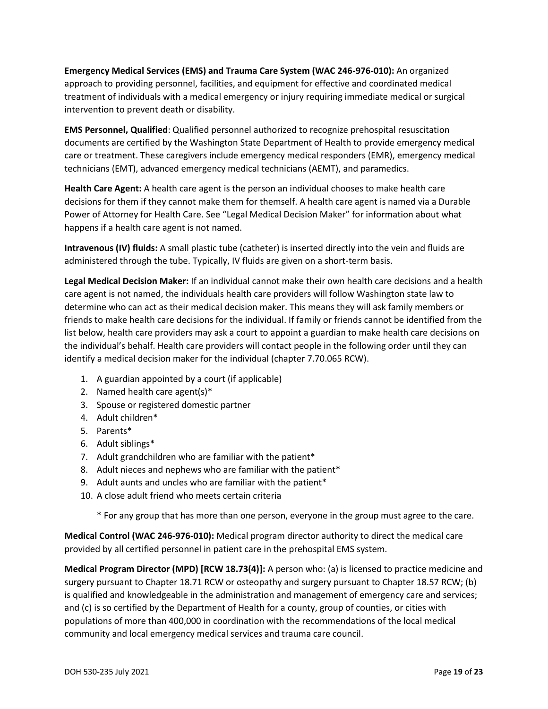**Emergency Medical Services (EMS) and Trauma Care System (WAC 246-976-010):** An organized approach to providing personnel, facilities, and equipment for effective and coordinated medical treatment of individuals with a medical emergency or injury requiring immediate medical or surgical intervention to prevent death or disability.

**EMS Personnel, Qualified:** Qualified personnel authorized to recognize prehospital resuscitation documents are certified by the Washington State Department of Health to provide emergency medical care or treatment. These caregivers include emergency medical responders (EMR), emergency medical technicians (EMT), advanced emergency medical technicians (AEMT), and paramedics.

**Health Care Agent:** A health care agent is the person an individual chooses to make health care decisions for them if they cannot make them for themself. A health care agent is named via a Durable Power of Attorney for Health Care. See "Legal Medical Decision Maker" for information about what happens if a health care agent is not named.

**Intravenous (IV) fluids:** A small plastic tube (catheter) is inserted directly into the vein and fluids are administered through the tube. Typically, IV fluids are given on a short-term basis.

**Legal Medical Decision Maker:** If an individual cannot make their own health care decisions and a health care agent is not named, the individuals health care providers will follow Washington state law to determine who can act as their medical decision maker. This means they will ask family members or friends to make health care decisions for the individual. If family or friends cannot be identified from the list below, health care providers may ask a court to appoint a guardian to make health care decisions on the individual's behalf. Health care providers will contact people in the following order until they can identify a medical decision maker for the individual (chapter 7.70.065 RCW).

- 1. A guardian appointed by a court (if applicable)
- 2. Named health care agent(s)\*
- 3. Spouse or registered domestic partner
- 4. Adult children\*
- 5. Parents\*
- 6. Adult siblings\*
- 7. Adult grandchildren who are familiar with the patient\*
- 8. Adult nieces and nephews who are familiar with the patient\*
- 9. Adult aunts and uncles who are familiar with the patient\*
- 10. A close adult friend who meets certain criteria

\* For any group that has more than one person, everyone in the group must agree to the care.

**Medical Control (WAC 246-976-010):** Medical program director authority to direct the medical care provided by all certified personnel in patient care in the prehospital EMS system.

**Medical Program Director (MPD) [RCW 18.73(4)]:** A person who: (a) is licensed to practice medicine and surgery pursuant to Chapter 18.71 RCW or osteopathy and surgery pursuant to Chapter 18.57 RCW; (b) is qualified and knowledgeable in the administration and management of emergency care and services; and (c) is so certified by the Department of Health for a county, group of counties, or cities with populations of more than 400,000 in coordination with the recommendations of the local medical community and local emergency medical services and trauma care council.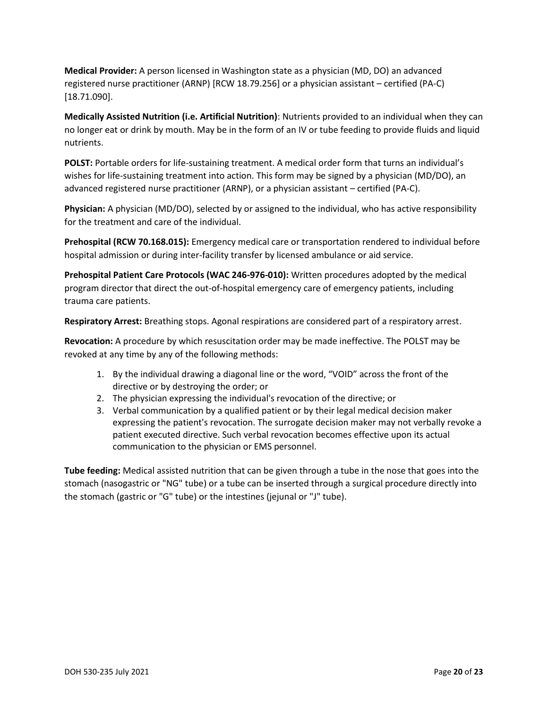**Medical Provider:** A person licensed in Washington state as a physician (MD, DO) an advanced registered nurse practitioner (ARNP) [RCW 18.79.256] or a physician assistant – certified (PA-C) [18.71.090].

**Medically Assisted Nutrition (i.e. Artificial Nutrition)**: Nutrients provided to an individual when they can no longer eat or drink by mouth. May be in the form of an IV or tube feeding to provide fluids and liquid nutrients.

**POLST:** Portable orders for life-sustaining treatment. A medical order form that turns an individual's wishes for life-sustaining treatment into action. This form may be signed by a physician (MD/DO), an advanced registered nurse practitioner (ARNP), or a physician assistant – certified (PA-C).

**Physician:** A physician (MD/DO), selected by or assigned to the individual, who has active responsibility for the treatment and care of the individual.

**Prehospital (RCW 70.168.015):** Emergency medical care or transportation rendered to individual before hospital admission or during inter-facility transfer by licensed ambulance or aid service.

**Prehospital Patient Care Protocols (WAC 246-976-010):** Written procedures adopted by the medical program director that direct the out-of-hospital emergency care of emergency patients, including trauma care patients.

**Respiratory Arrest:** Breathing stops. Agonal respirations are considered part of a respiratory arrest.

**Revocation:** A procedure by which resuscitation order may be made ineffective. The POLST may be revoked at any time by any of the following methods:

- 1. By the individual drawing a diagonal line or the word, "VOID" across the front of the directive or by destroying the order; or
- 2. The physician expressing the individual's revocation of the directive; or
- 3. Verbal communication by a qualified patient or by their legal medical decision maker expressing the patient's revocation. The surrogate decision maker may not verbally revoke a patient executed directive. Such verbal revocation becomes effective upon its actual communication to the physician or EMS personnel.

**Tube feeding:** Medical assisted nutrition that can be given through a tube in the nose that goes into the stomach (nasogastric or "NG" tube) or a tube can be inserted through a surgical procedure directly into the stomach (gastric or "G" tube) or the intestines (jejunal or "J" tube).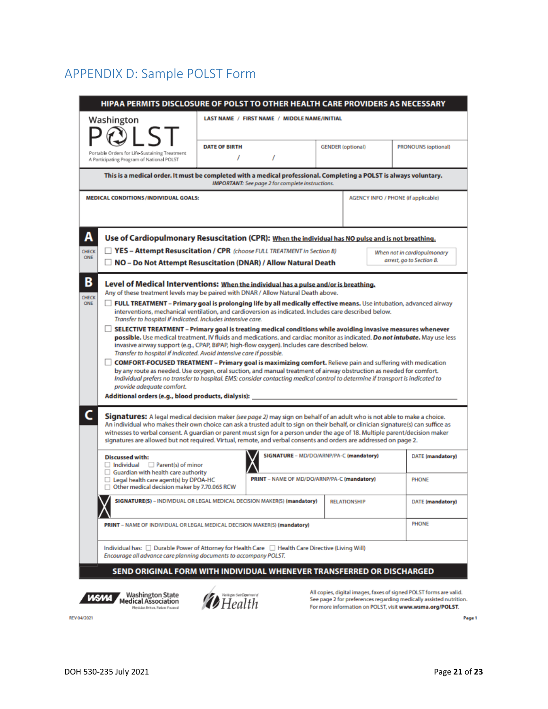## <span id="page-21-0"></span>APPENDIX D: Sample POLST Form

|                                                                                                                                                                                                                                                                                                                                                                                                                     | Washington                                                                                                                                                                                                                                                                                                                                                                                                                                                                                                                                                                                   |                      |                                                         |  |                                             |  |                                                      |
|---------------------------------------------------------------------------------------------------------------------------------------------------------------------------------------------------------------------------------------------------------------------------------------------------------------------------------------------------------------------------------------------------------------------|----------------------------------------------------------------------------------------------------------------------------------------------------------------------------------------------------------------------------------------------------------------------------------------------------------------------------------------------------------------------------------------------------------------------------------------------------------------------------------------------------------------------------------------------------------------------------------------------|----------------------|---------------------------------------------------------|--|---------------------------------------------|--|------------------------------------------------------|
| $\overline{S}$<br>Portable Orders for Life-Sustaining Treatment<br>A Participating Program of National POLST                                                                                                                                                                                                                                                                                                        |                                                                                                                                                                                                                                                                                                                                                                                                                                                                                                                                                                                              | <b>DATE OF BIRTH</b> |                                                         |  | <b>GENDER</b> (optional)                    |  | <b>PRONOUNS (optional)</b>                           |
|                                                                                                                                                                                                                                                                                                                                                                                                                     |                                                                                                                                                                                                                                                                                                                                                                                                                                                                                                                                                                                              |                      | I                                                       |  |                                             |  |                                                      |
|                                                                                                                                                                                                                                                                                                                                                                                                                     | This is a medical order. It must be completed with a medical professional. Completing a POLST is always voluntary.                                                                                                                                                                                                                                                                                                                                                                                                                                                                           |                      | <b>IMPORTANT:</b> See page 2 for complete instructions. |  |                                             |  |                                                      |
|                                                                                                                                                                                                                                                                                                                                                                                                                     | <b>MEDICAL CONDITIONS /INDIVIDUAL GOALS:</b>                                                                                                                                                                                                                                                                                                                                                                                                                                                                                                                                                 |                      |                                                         |  |                                             |  | <b>AGENCY INFO / PHONE (if applicable)</b>           |
|                                                                                                                                                                                                                                                                                                                                                                                                                     |                                                                                                                                                                                                                                                                                                                                                                                                                                                                                                                                                                                              |                      |                                                         |  |                                             |  |                                                      |
|                                                                                                                                                                                                                                                                                                                                                                                                                     | Use of Cardiopulmonary Resuscitation (CPR): When the individual has NO pulse and is not breathing.                                                                                                                                                                                                                                                                                                                                                                                                                                                                                           |                      |                                                         |  |                                             |  |                                                      |
| CHECK                                                                                                                                                                                                                                                                                                                                                                                                               | <b>TYES - Attempt Resuscitation / CPR</b> (choose FULL TREATMENT in Section B)                                                                                                                                                                                                                                                                                                                                                                                                                                                                                                               |                      |                                                         |  |                                             |  | When not in cardiopulmonary                          |
|                                                                                                                                                                                                                                                                                                                                                                                                                     | NO - Do Not Attempt Resuscitation (DNAR) / Allow Natural Death                                                                                                                                                                                                                                                                                                                                                                                                                                                                                                                               |                      |                                                         |  |                                             |  | arrest, go to Section B.                             |
| В<br>Level of Medical Interventions: When the individual has a pulse and/or is breathing.<br>Any of these treatment levels may be paired with DNAR / Allow Natural Death above.                                                                                                                                                                                                                                     |                                                                                                                                                                                                                                                                                                                                                                                                                                                                                                                                                                                              |                      |                                                         |  |                                             |  |                                                      |
| <b>CHECK</b><br>FULL TREATMENT - Primary goal is prolonging life by all medically effective means. Use intubation, advanced airway<br>ONE<br>H<br>interventions, mechanical ventilation, and cardioversion as indicated. Includes care described below.<br>Transfer to hospital if indicated. Includes intensive care.                                                                                              |                                                                                                                                                                                                                                                                                                                                                                                                                                                                                                                                                                                              |                      |                                                         |  |                                             |  |                                                      |
| SELECTIVE TREATMENT - Primary goal is treating medical conditions while avoiding invasive measures whenever<br>possible. Use medical treatment, IV fluids and medications, and cardiac monitor as indicated. Do not intubate. May use less<br>invasive airway support (e.g., CPAP, BiPAP, high-flow oxygen). Includes care described below.<br>Transfer to hospital if indicated. Avoid intensive care if possible. |                                                                                                                                                                                                                                                                                                                                                                                                                                                                                                                                                                                              |                      |                                                         |  |                                             |  |                                                      |
|                                                                                                                                                                                                                                                                                                                                                                                                                     |                                                                                                                                                                                                                                                                                                                                                                                                                                                                                                                                                                                              |                      |                                                         |  |                                             |  |                                                      |
|                                                                                                                                                                                                                                                                                                                                                                                                                     | <b>COMFORT-FOCUSED TREATMENT - Primary goal is maximizing comfort.</b> Relieve pain and suffering with medication<br>by any route as needed. Use oxygen, oral suction, and manual treatment of airway obstruction as needed for comfort.<br>Individual prefers no transfer to hospital. EMS: consider contacting medical control to determine if transport is indicated to                                                                                                                                                                                                                   |                      |                                                         |  |                                             |  |                                                      |
|                                                                                                                                                                                                                                                                                                                                                                                                                     | provide adequate comfort.<br>Additional orders (e.g., blood products, dialysis):                                                                                                                                                                                                                                                                                                                                                                                                                                                                                                             |                      |                                                         |  |                                             |  |                                                      |
|                                                                                                                                                                                                                                                                                                                                                                                                                     | Signatures: A legal medical decision maker (see page 2) may sign on behalf of an adult who is not able to make a choice.<br>An individual who makes their own choice can ask a trusted adult to sign on their behalf, or clinician signature(s) can suffice as<br>witnesses to verbal consent. A quardian or parent must sign for a person under the age of 18. Multiple parent/decision maker<br>signatures are allowed but not required. Virtual, remote, and verbal consents and orders are addressed on page 2.<br><b>Discussed with:</b><br>$\Box$ Individual $\Box$ Parent(s) of minor |                      |                                                         |  | SIGNATURE - MD/DO/ARNP/PA-C (mandatory)     |  |                                                      |
|                                                                                                                                                                                                                                                                                                                                                                                                                     | $\Box$ Guardian with health care authority<br>$\Box$ Legal health care agent(s) by DPOA-HC<br>□ Other medical decision maker by 7.70.065 RCW                                                                                                                                                                                                                                                                                                                                                                                                                                                 |                      |                                                         |  | PRINT - NAME OF MD/DO/ARNP/PA-C (mandatory) |  | <b>PHONE</b>                                         |
|                                                                                                                                                                                                                                                                                                                                                                                                                     | SIGNATURE(S) - INDIVIDUAL OR LEGAL MEDICAL DECISION MAKER(S) (mandatory)                                                                                                                                                                                                                                                                                                                                                                                                                                                                                                                     |                      |                                                         |  | <b>RELATIONSHIP</b>                         |  |                                                      |
|                                                                                                                                                                                                                                                                                                                                                                                                                     | PRINT - NAME OF INDIVIDUAL OR LEGAL MEDICAL DECISION MAKER(S) (mandatory)                                                                                                                                                                                                                                                                                                                                                                                                                                                                                                                    |                      |                                                         |  |                                             |  | DATE (mandatory)<br>DATE (mandatory)<br><b>PHONE</b> |
|                                                                                                                                                                                                                                                                                                                                                                                                                     | Individual has: Durable Power of Attorney for Health Care Diealth Care Directive (Living Will)<br>Encourage all advance care planning documents to accompany POLST.                                                                                                                                                                                                                                                                                                                                                                                                                          |                      |                                                         |  |                                             |  |                                                      |

REV 04/2021

Page 1